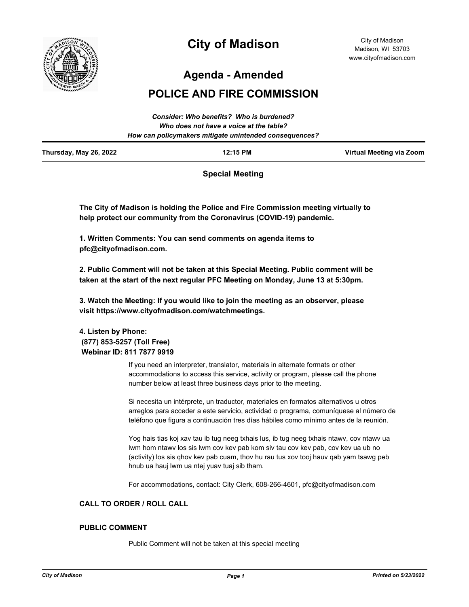

# **City of Madison**

City of Madison Madison, WI 53703 www.cityofmadison.com

**Agenda - Amended**

# **POLICE AND FIRE COMMISSION**

| Thursday, May 26, 2022 | 12:15 PM                                               | Virtual Meeting via Zoom |
|------------------------|--------------------------------------------------------|--------------------------|
|                        | How can policymakers mitigate unintended consequences? |                          |
|                        | Who does not have a voice at the table?                |                          |
|                        | Consider: Who benefits? Who is burdened?               |                          |

## **Special Meeting**

**The City of Madison is holding the Police and Fire Commission meeting virtually to help protect our community from the Coronavirus (COVID-19) pandemic.**

**1. Written Comments: You can send comments on agenda items to pfc@cityofmadison.com.**

**2. Public Comment will not be taken at this Special Meeting. Public comment will be taken at the start of the next regular PFC Meeting on Monday, June 13 at 5:30pm.**

**3. Watch the Meeting: If you would like to join the meeting as an observer, please visit https://www.cityofmadison.com/watchmeetings.**

**4. Listen by Phone: (877) 853-5257 (Toll Free) Webinar ID: 811 7877 9919**

> If you need an interpreter, translator, materials in alternate formats or other accommodations to access this service, activity or program, please call the phone number below at least three business days prior to the meeting.

Si necesita un intérprete, un traductor, materiales en formatos alternativos u otros arreglos para acceder a este servicio, actividad o programa, comuníquese al número de teléfono que figura a continuación tres días hábiles como mínimo antes de la reunión.

Yog hais tias koj xav tau ib tug neeg txhais lus, ib tug neeg txhais ntawv, cov ntawv ua lwm hom ntawv los sis lwm cov kev pab kom siv tau cov kev pab, cov kev ua ub no (activity) los sis qhov kev pab cuam, thov hu rau tus xov tooj hauv qab yam tsawg peb hnub ua hauj lwm ua ntej yuav tuaj sib tham.

For accommodations, contact: City Clerk, 608-266-4601, pfc@cityofmadison.com

#### **CALL TO ORDER / ROLL CALL**

#### **PUBLIC COMMENT**

Public Comment will not be taken at this special meeting